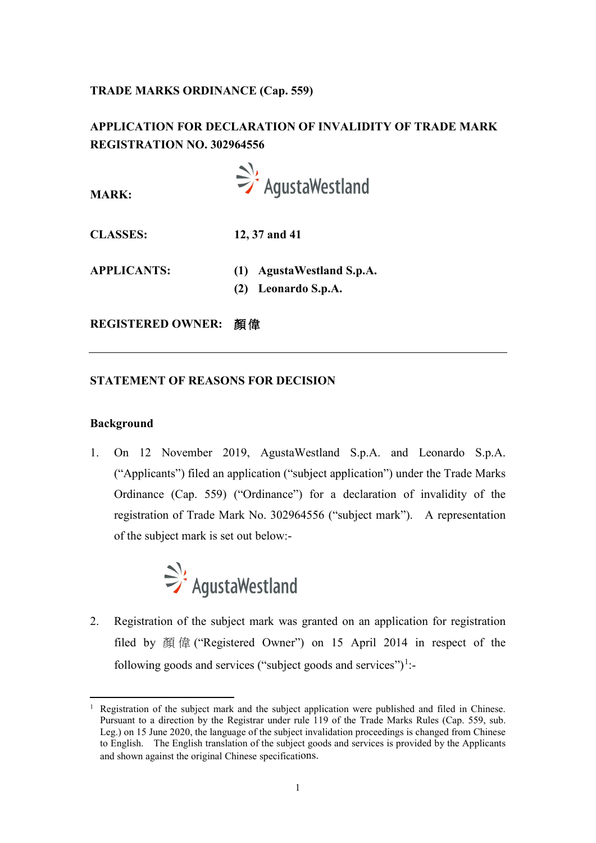## **TRADE MARKS ORDINANCE (Cap. 559)**

# **APPLICATION FOR DECLARATION OF INVALIDITY OF TRADE MARK REGISTRATION NO. 302964556**



**MARK:**

**CLASSES: 12, 37 and 41**

- **APPLICANTS: (1) AgustaWestland S.p.A.**
	- **(2) Leonardo S.p.A.**

**REGISTERED OWNER:** 顏 偉

## **STATEMENT OF REASONS FOR DECISION**

## **Background**

1. On 12 November 2019, AgustaWestland S.p.A. and Leonardo S.p.A. ("Applicants") filed an application ("subject application") under the Trade Marks Ordinance (Cap. 559) ("Ordinance") for a declaration of invalidity of the registration of Trade Mark No. 302964556 ("subject mark"). A representation of the subject mark is set out below:-



2. Registration of the subject mark was granted on an application for registration filed by 顏 偉 ("Registered Owner") on 15 April 2014 in respect of the following goods and services ("subject goods and services")<sup>[1](#page-0-0)</sup>:-

<span id="page-0-0"></span> <sup>1</sup> Registration of the subject mark and the subject application were published and filed in Chinese. Pursuant to a direction by the Registrar under rule 119 of the Trade Marks Rules (Cap. 559, sub. Leg.) on 15 June 2020, the language of the subject invalidation proceedings is changed from Chinese to English. The English translation of the subject goods and services is provided by the Applicants and shown against the original Chinese specifications.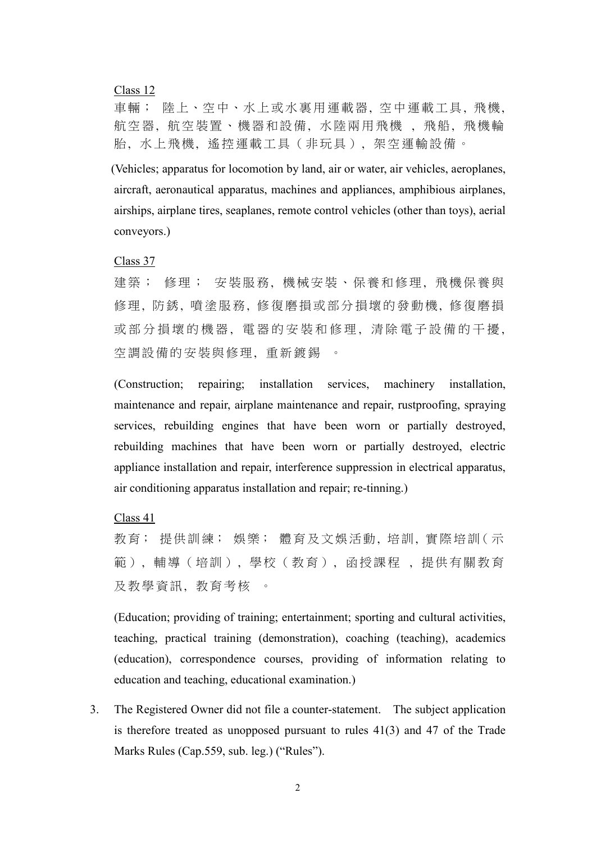#### Class 12

車輛; 陸上、空中、水上或水裏用運載器, 空中運載工具 , 飛機, 航空器, 航空裝置、機器和設備, 水陸兩用飛機 , 飛 船, 飛機輪 胎, 水上飛機, 遙控運載工具(非玩具), 架空運輸設備 。

(Vehicles; apparatus for locomotion by land, air or water, air vehicles, aeroplanes, aircraft, aeronautical apparatus, machines and appliances, amphibious airplanes, airships, airplane tires, seaplanes, remote control vehicles (other than toys), aerial conveyors.)

Class 37

建築; 修理; 安裝服務, 機械安裝、保養和修理, 飛機保養與 修理, 防銹, 噴塗服務, 修復磨損或部分損壞的發動機, 修復磨損 或部分損壞的機器, 電器的安裝和修理, 清除電子設備的干擾, 空調設備的安裝與修理, 重新鍍錫

(Construction; repairing; installation services, machinery installation, maintenance and repair, airplane maintenance and repair, rustproofing, spraying services, rebuilding engines that have been worn or partially destroyed, rebuilding machines that have been worn or partially destroyed, electric appliance installation and repair, interference suppression in electrical apparatus, air conditioning apparatus installation and repair; re-tinning.)

Class 41

教育; 提供訓練; 娛樂; 體育及文娛活動, 培訓, 實際培訓(示 範), 輔導(培訓), 學校(教育), 函授課程 , 提供有關教育 及教學資訊, 教育考核 。

(Education; providing of training; entertainment; sporting and cultural activities, teaching, practical training (demonstration), coaching (teaching), academics (education), correspondence courses, providing of information relating to education and teaching, educational examination.)

3. The Registered Owner did not file a counter-statement. The subject application is therefore treated as unopposed pursuant to rules 41(3) and 47 of the Trade Marks Rules (Cap.559, sub. leg.) ("Rules").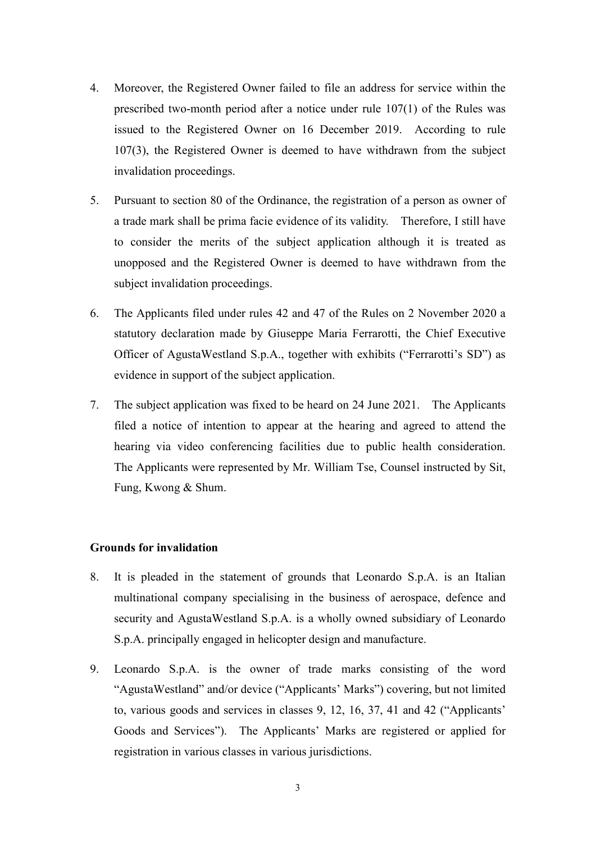- 4. Moreover, the Registered Owner failed to file an address for service within the prescribed two-month period after a notice under rule 107(1) of the Rules was issued to the Registered Owner on 16 December 2019. According to rule 107(3), the Registered Owner is deemed to have withdrawn from the subject invalidation proceedings.
- 5. Pursuant to section 80 of the Ordinance, the registration of a person as owner of a trade mark shall be prima facie evidence of its validity. Therefore, I still have to consider the merits of the subject application although it is treated as unopposed and the Registered Owner is deemed to have withdrawn from the subject invalidation proceedings.
- 6. The Applicants filed under rules 42 and 47 of the Rules on 2 November 2020 a statutory declaration made by Giuseppe Maria Ferrarotti, the Chief Executive Officer of AgustaWestland S.p.A., together with exhibits ("Ferrarotti's SD") as evidence in support of the subject application.
- 7. The subject application was fixed to be heard on 24 June 2021. The Applicants filed a notice of intention to appear at the hearing and agreed to attend the hearing via video conferencing facilities due to public health consideration. The Applicants were represented by Mr. William Tse, Counsel instructed by Sit, Fung, Kwong & Shum.

#### **Grounds for invalidation**

- 8. It is pleaded in the statement of grounds that Leonardo S.p.A. is an Italian multinational company specialising in the business of aerospace, defence and security and AgustaWestland S.p.A. is a wholly owned subsidiary of Leonardo S.p.A. principally engaged in helicopter design and manufacture.
- 9. Leonardo S.p.A. is the owner of trade marks consisting of the word "AgustaWestland" and/or device ("Applicants' Marks") covering, but not limited to, various goods and services in classes 9, 12, 16, 37, 41 and 42 ("Applicants' Goods and Services"). The Applicants' Marks are registered or applied for registration in various classes in various jurisdictions.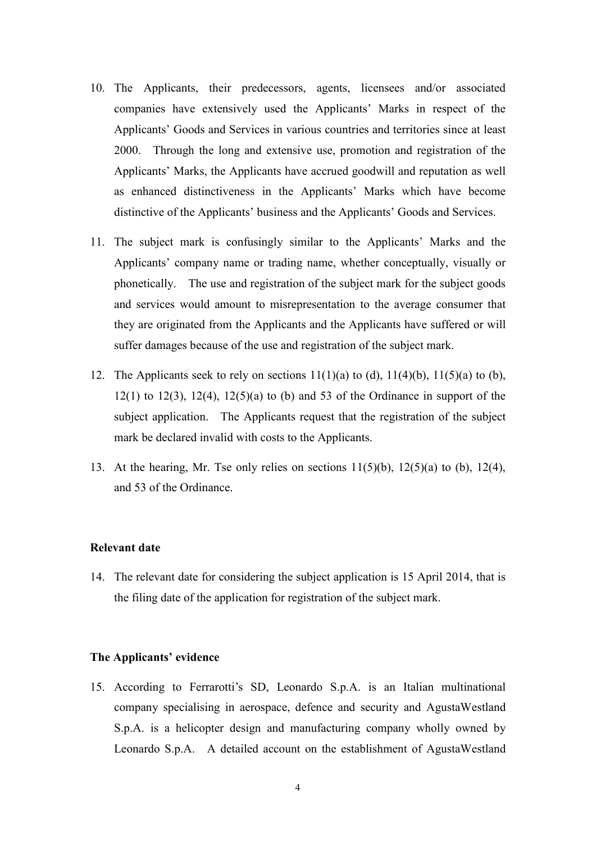- 10. The Applicants, their predecessors, agents, licensees and/or associated companies have extensively used the Applicants' Marks in respect of the Applicants' Goods and Services in various countries and territories since at least 2000. Through the long and extensive use, promotion and registration of the Applicants' Marks, the Applicants have accrued goodwill and reputation as well as enhanced distinctiveness in the Applicants' Marks which have become distinctive of the Applicants' business and the Applicants' Goods and Services.
- 11. The subject mark is confusingly similar to the Applicants' Marks and the Applicants' company name or trading name, whether conceptually, visually or phonetically. The use and registration of the subject mark for the subject goods and services would amount to misrepresentation to the average consumer that they are originated from the Applicants and the Applicants have suffered or will suffer damages because of the use and registration of the subject mark.
- 12. The Applicants seek to rely on sections  $11(1)(a)$  to (d),  $11(4)(b)$ ,  $11(5)(a)$  to (b),  $12(1)$  to  $12(3)$ ,  $12(4)$ ,  $12(5)(a)$  to (b) and 53 of the Ordinance in support of the subject application. The Applicants request that the registration of the subject mark be declared invalid with costs to the Applicants.
- 13. At the hearing, Mr. Tse only relies on sections  $11(5)(b)$ ,  $12(5)(a)$  to  $(b)$ ,  $12(4)$ , and 53 of the Ordinance.

#### **Relevant date**

14. The relevant date for considering the subject application is 15 April 2014, that is the filing date of the application for registration of the subject mark.

#### **The Applicants' evidence**

15. According to Ferrarotti's SD, Leonardo S.p.A. is an Italian multinational company specialising in aerospace, defence and security and AgustaWestland S.p.A. is a helicopter design and manufacturing company wholly owned by Leonardo S.p.A. A detailed account on the establishment of AgustaWestland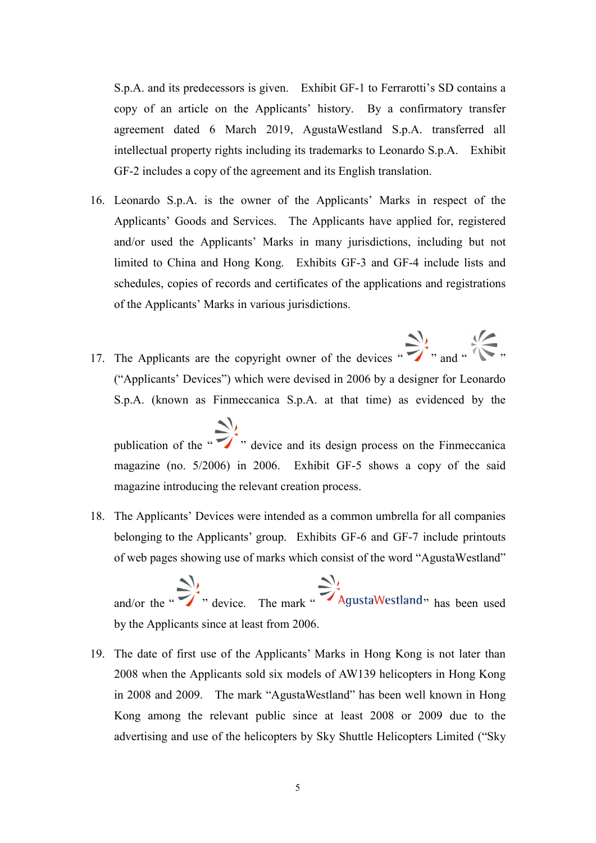S.p.A. and its predecessors is given. Exhibit GF-1 to Ferrarotti's SD contains a copy of an article on the Applicants' history. By a confirmatory transfer agreement dated 6 March 2019, AgustaWestland S.p.A. transferred all intellectual property rights including its trademarks to Leonardo S.p.A. Exhibit GF-2 includes a copy of the agreement and its English translation.

- 16. Leonardo S.p.A. is the owner of the Applicants' Marks in respect of the Applicants' Goods and Services. The Applicants have applied for, registered and/or used the Applicants' Marks in many jurisdictions, including but not limited to China and Hong Kong. Exhibits GF-3 and GF-4 include lists and schedules, copies of records and certificates of the applications and registrations of the Applicants' Marks in various jurisdictions.
- 17. The Applicants are the copyright owner of the devices  $\sum_{n=1}^{\infty}$  and  $\sum_{n=1}^{\infty}$  and  $\sum_{n=1}^{\infty}$  and  $\sum_{n=1}^{\infty}$  and  $\sum_{n=1}^{\infty}$  and  $\sum_{n=1}^{\infty}$  and  $\sum_{n=1}^{\infty}$  and  $\sum_{n=1}^{\infty}$  and  $\sum_{n=1}^{\in$ ("Applicants' Devices") which were devised in 2006 by a designer for Leonardo S.p.A. (known as Finmeccanica S.p.A. at that time) as evidenced by the

publication of the  $\sum$ , device and its design process on the Finmeccanica magazine (no. 5/2006) in 2006. Exhibit GF-5 shows a copy of the said magazine introducing the relevant creation process.

18. The Applicants' Devices were intended as a common umbrella for all companies belonging to the Applicants' group. Exhibits GF-6 and GF-7 include printouts of web pages showing use of marks which consist of the word "AgustaWestland"

and/or the "  $\sum_{n=1}^{\infty}$ ", device. The mark "  $\sum_{n=1}^{\infty}$  " Agusta Westland" has been used by the Applicants since at least from 2006.

19. The date of first use of the Applicants' Marks in Hong Kong is not later than 2008 when the Applicants sold six models of AW139 helicopters in Hong Kong in 2008 and 2009. The mark "AgustaWestland" has been well known in Hong Kong among the relevant public since at least 2008 or 2009 due to the advertising and use of the helicopters by Sky Shuttle Helicopters Limited ("Sky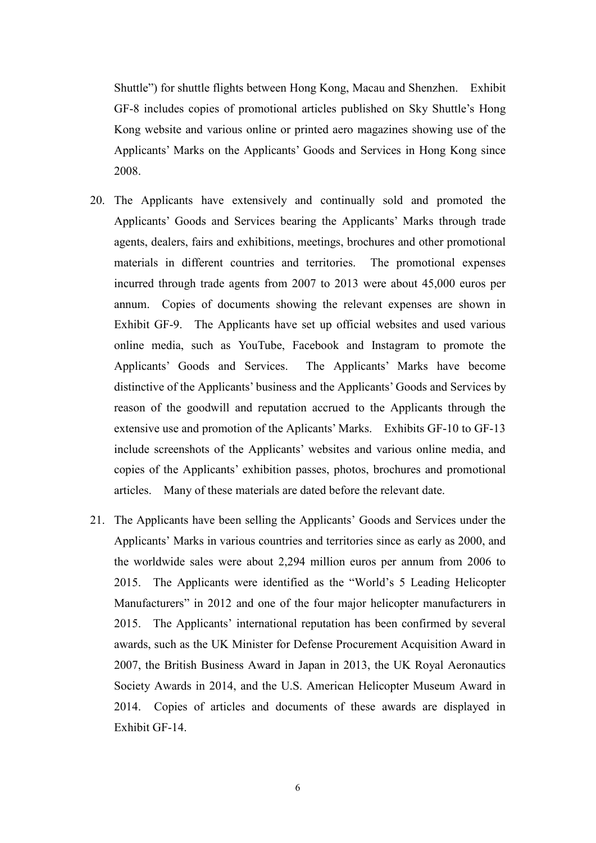Shuttle") for shuttle flights between Hong Kong, Macau and Shenzhen. Exhibit GF-8 includes copies of promotional articles published on Sky Shuttle's Hong Kong website and various online or printed aero magazines showing use of the Applicants' Marks on the Applicants' Goods and Services in Hong Kong since 2008.

- 20. The Applicants have extensively and continually sold and promoted the Applicants' Goods and Services bearing the Applicants' Marks through trade agents, dealers, fairs and exhibitions, meetings, brochures and other promotional materials in different countries and territories. The promotional expenses incurred through trade agents from 2007 to 2013 were about 45,000 euros per annum. Copies of documents showing the relevant expenses are shown in Exhibit GF-9. The Applicants have set up official websites and used various online media, such as YouTube, Facebook and Instagram to promote the Applicants' Goods and Services. The Applicants' Marks have become distinctive of the Applicants' business and the Applicants' Goods and Services by reason of the goodwill and reputation accrued to the Applicants through the extensive use and promotion of the Aplicants' Marks. Exhibits GF-10 to GF-13 include screenshots of the Applicants' websites and various online media, and copies of the Applicants' exhibition passes, photos, brochures and promotional articles. Many of these materials are dated before the relevant date.
- 21. The Applicants have been selling the Applicants' Goods and Services under the Applicants' Marks in various countries and territories since as early as 2000, and the worldwide sales were about 2,294 million euros per annum from 2006 to 2015. The Applicants were identified as the "World's 5 Leading Helicopter Manufacturers" in 2012 and one of the four major helicopter manufacturers in 2015. The Applicants' international reputation has been confirmed by several awards, such as the UK Minister for Defense Procurement Acquisition Award in 2007, the British Business Award in Japan in 2013, the UK Royal Aeronautics Society Awards in 2014, and the U.S. American Helicopter Museum Award in 2014. Copies of articles and documents of these awards are displayed in Exhibit GF-14.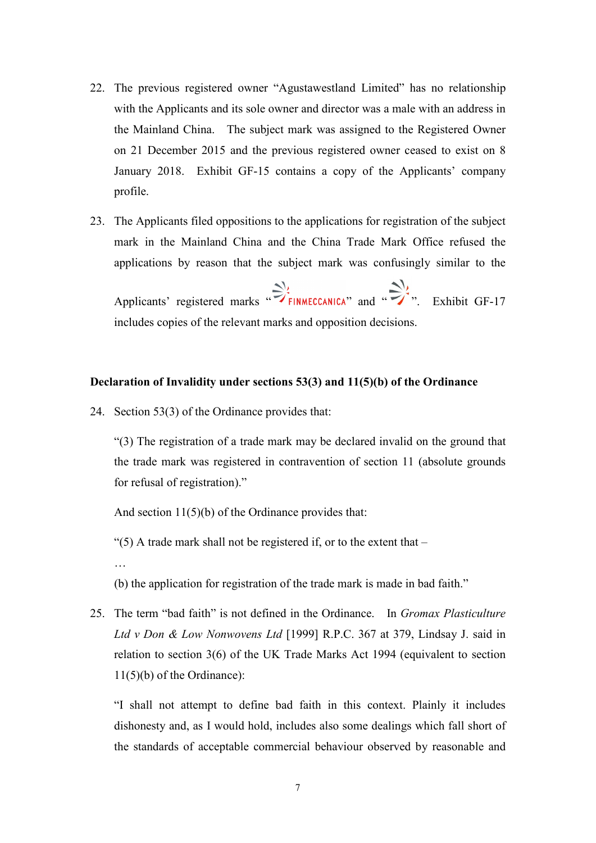- 22. The previous registered owner "Agustawestland Limited" has no relationship with the Applicants and its sole owner and director was a male with an address in the Mainland China. The subject mark was assigned to the Registered Owner on 21 December 2015 and the previous registered owner ceased to exist on 8 January 2018. Exhibit GF-15 contains a copy of the Applicants' company profile.
- 23. The Applicants filed oppositions to the applications for registration of the subject mark in the Mainland China and the China Trade Mark Office refused the applications by reason that the subject mark was confusingly similar to the

Applicants' registered marks  $\sum_{i=1}^{N}$  FINMECCANICA" and " $\sum_{i=1}^{N}$ ". Exhibit GF-17 includes copies of the relevant marks and opposition decisions.

### **Declaration of Invalidity under sections 53(3) and 11(5)(b) of the Ordinance**

24. Section 53(3) of the Ordinance provides that:

"(3) The registration of a trade mark may be declared invalid on the ground that the trade mark was registered in contravention of section 11 (absolute grounds for refusal of registration)."

And section 11(5)(b) of the Ordinance provides that:

"(5) A trade mark shall not be registered if, or to the extent that  $-$ 

…

- (b) the application for registration of the trade mark is made in bad faith."
- 25. The term "bad faith" is not defined in the Ordinance. In *Gromax Plasticulture Ltd v Don & Low Nonwovens Ltd* [1999] R.P.C. 367 at 379, Lindsay J. said in relation to section 3(6) of the UK Trade Marks Act 1994 (equivalent to section 11(5)(b) of the Ordinance):

"I shall not attempt to define bad faith in this context. Plainly it includes dishonesty and, as I would hold, includes also some dealings which fall short of the standards of acceptable commercial behaviour observed by reasonable and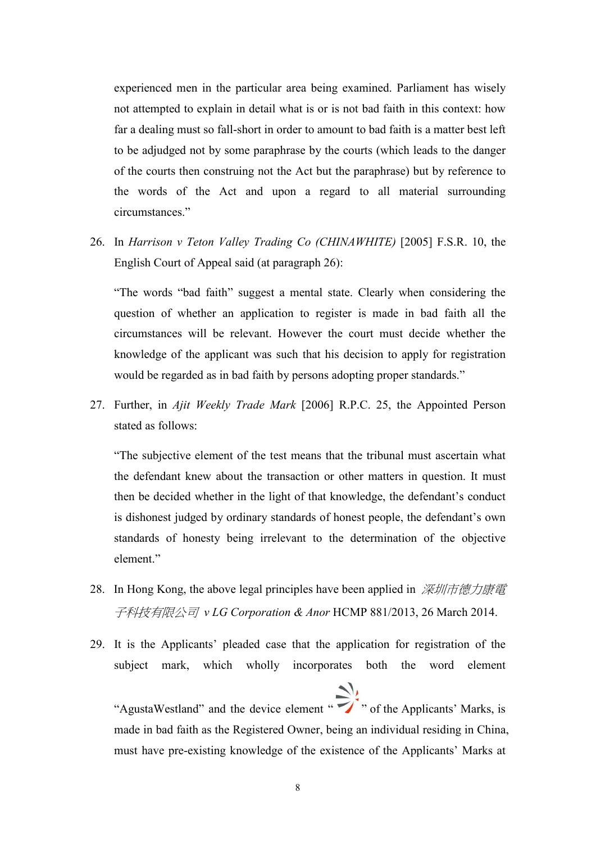experienced men in the particular area being examined. Parliament has wisely not attempted to explain in detail what is or is not bad faith in this context: how far a dealing must so fall-short in order to amount to bad faith is a matter best left to be adjudged not by some paraphrase by the courts (which leads to the danger of the courts then construing not the Act but the paraphrase) but by reference to the words of the Act and upon a regard to all material surrounding circumstances."

26. In *Harrison v Teton Valley Trading Co (CHINAWHITE)* [2005] F.S.R. 10, the English Court of Appeal said (at paragraph 26):

"The words "bad faith" suggest a mental state. Clearly when considering the question of whether an application to register is made in bad faith all the circumstances will be relevant. However the court must decide whether the knowledge of the applicant was such that his decision to apply for registration would be regarded as in bad faith by persons adopting proper standards."

27. Further, in *Ajit Weekly Trade Mark* [2006] R.P.C. 25, the Appointed Person stated as follows:

"The subjective element of the test means that the tribunal must ascertain what the defendant knew about the transaction or other matters in question. It must then be decided whether in the light of that knowledge, the defendant's conduct is dishonest judged by ordinary standards of honest people, the defendant's own standards of honesty being irrelevant to the determination of the objective element."

- 28. In Hong Kong, the above legal principles have been applied in 深圳市德力康電 子科技有限公司 *v LG Corporation & Anor* HCMP 881/2013, 26 March 2014.
- 29. It is the Applicants' pleaded case that the application for registration of the subject mark, which wholly incorporates both the word element

"AgustaWestland" and the device element "<br>">" of the Applicants' Marks, is made in bad faith as the Registered Owner, being an individual residing in China, must have pre-existing knowledge of the existence of the Applicants' Marks at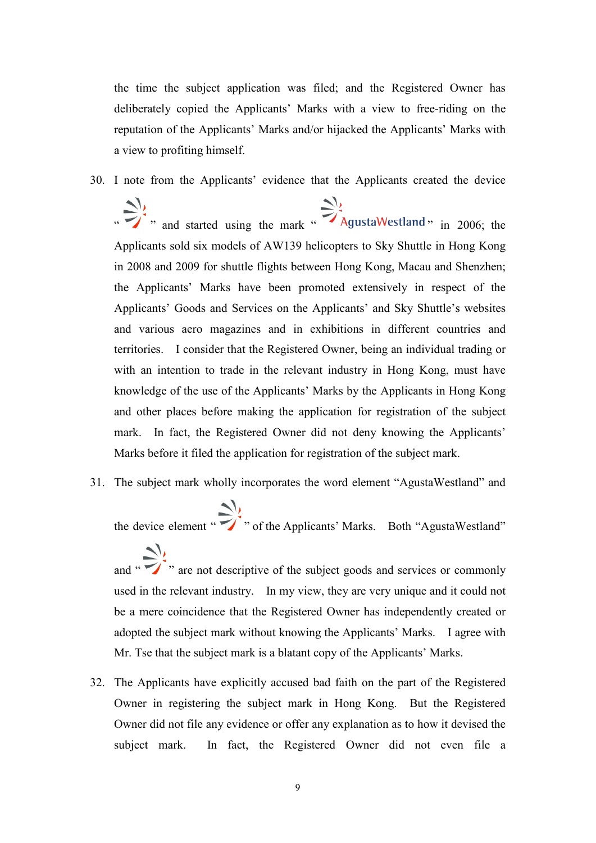the time the subject application was filed; and the Registered Owner has deliberately copied the Applicants' Marks with a view to free-riding on the reputation of the Applicants' Marks and/or hijacked the Applicants' Marks with a view to profiting himself.

- 30. I note from the Applicants' evidence that the Applicants created the device
	- $\sum_{n=1}^{\infty}$ , and started using the mark " AgustaWestland " in 2006; the Applicants sold six models of AW139 helicopters to Sky Shuttle in Hong Kong in 2008 and 2009 for shuttle flights between Hong Kong, Macau and Shenzhen; the Applicants' Marks have been promoted extensively in respect of the Applicants' Goods and Services on the Applicants' and Sky Shuttle's websites and various aero magazines and in exhibitions in different countries and territories. I consider that the Registered Owner, being an individual trading or with an intention to trade in the relevant industry in Hong Kong, must have knowledge of the use of the Applicants' Marks by the Applicants in Hong Kong and other places before making the application for registration of the subject mark. In fact, the Registered Owner did not deny knowing the Applicants' Marks before it filed the application for registration of the subject mark.
- 31. The subject mark wholly incorporates the word element "AgustaWestland" and

the device element "<br>
" of the Applicants' Marks. Both "AgustaWestland"

and " $\sum$ " are not descriptive of the subject goods and services or commonly used in the relevant industry. In my view, they are very unique and it could not be a mere coincidence that the Registered Owner has independently created or adopted the subject mark without knowing the Applicants' Marks. I agree with Mr. Tse that the subject mark is a blatant copy of the Applicants' Marks.

32. The Applicants have explicitly accused bad faith on the part of the Registered Owner in registering the subject mark in Hong Kong. But the Registered Owner did not file any evidence or offer any explanation as to how it devised the subject mark. In fact, the Registered Owner did not even file a